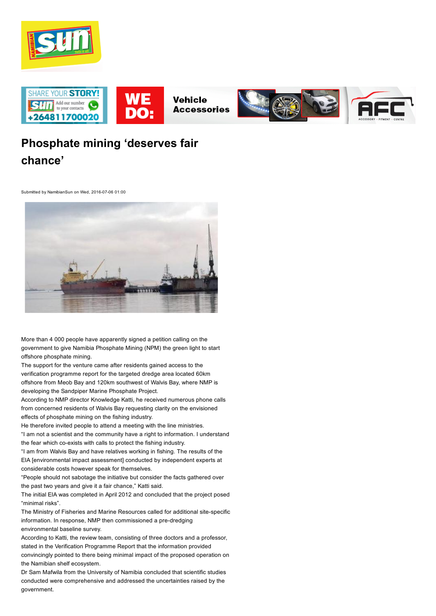



# Phosphate mining 'deserves fair chance'

Submitted by NamibianSun on Wed, 2016-07-06 01:00



More than 4 000 people have apparently signed a petition calling on the government to give Namibia Phosphate Mining (NPM) the green light to start offshore phosphate mining.

The support for the venture came after residents gained access to the verification programme report for the targeted dredge area located 60km offshore from Meob Bay and 120km southwest of Walvis Bay, where NMP is developing the Sandpiper Marine Phosphate Project.

According to NMP director Knowledge Katti, he received numerous phone calls from concerned residents of Walvis Bay requesting clarity on the envisioned effects of phosphate mining on the fishing industry.

He therefore invited people to attend a meeting with the line ministries. "I am not a scientist and the community have a right to information. I understand the fear which co-exists with calls to protect the fishing industry.

"I am from Walvis Bay and have relatives working in fishing. The results of the EIA [environmental impact assessment] conducted by independent experts at considerable costs however speak for themselves.

"People should not sabotage the initiative but consider the facts gathered over the past two years and give it a fair chance," Katti said.

The initial EIA was completed in April 2012 and concluded that the project posed "minimal risks".

The Ministry of Fisheries and Marine Resources called for additional site-specific information. In response, NMP then commissioned a pre-dredging environmental baseline survey.

According to Katti, the review team, consisting of three doctors and a professor, stated in the Verification Programme Report that the information provided convincingly pointed to there being minimal impact of the proposed operation on the Namibian shelf ecosystem.

Dr Sam Mafwila from the University of Namibia concluded that scientific studies conducted were comprehensive and addressed the uncertainties raised by the government.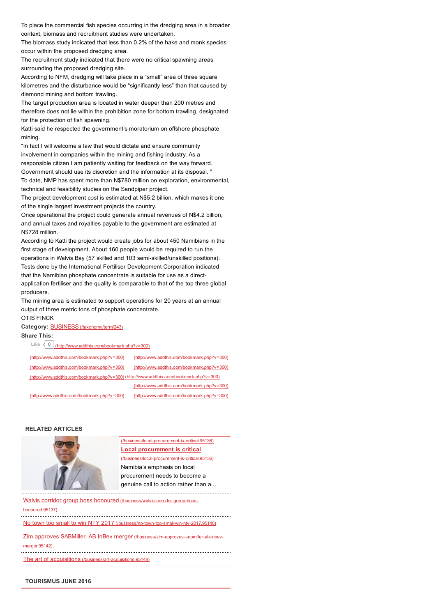To place the commercial fish species occurring in the dredging area in a broader context, biomass and recruitment studies were undertaken.

The biomass study indicated that less than 0.2% of the hake and monk species occur within the proposed dredging area.

The recruitment study indicated that there were no critical spawning areas surrounding the proposed dredging site.

According to NFM, dredging will take place in a "small" area of three square kilometres and the disturbance would be "significantly less" than that caused by diamond mining and bottom trawling.

The target production area is located in water deeper than 200 metres and therefore does not lie within the prohibition zone for bottom trawling, designated for the protection of fish spawning.

Katti said he respected the government's moratorium on offshore phosphate mining.

"In fact I will welcome a law that would dictate and ensure community involvement in companies within the mining and fishing industry. As a responsible citizen I am patiently waiting for feedback on the way forward. Government should use its discretion and the information at its disposal. " To date, NMP has spent more than N\$780 million on exploration, environmental,

technical and feasibility studies on the Sandpiper project. The project development cost is estimated at N\$5.2 billion, which makes it one

of the single largest investment projects the country.

Once operational the project could generate annual revenues of N\$4.2 billion, and annual taxes and royalties payable to the government are estimated at N\$728 million.

According to Katti the project would create jobs for about 450 Namibians in the first stage of development. About 160 people would be required to run the operations in Walvis Bay (57 skilled and 103 semi-skilled/unskilled positions). Tests done by the International Fertiliser Development Corporation indicated that the Namibian phosphate concentrate is suitable for use as a directapplication fertiliser and the quality is comparable to that of the top three global producers.

The mining area is estimated to support operations for 20 years at an annual output of three metric tons of phosphate concentrate.

## OTIS FINCK

## Category: **BUSINESS** [\(/taxonomy/term/243\)](http://www.namibiansun.com/taxonomy/term/243)

# Share This:

Like  $\left\{ 0 \right\}$  [\(http://www.addthis.com/bookmark.php?v=300\)](http://www.addthis.com/bookmark.php?v=300)

| (http://www.addthis.com/bookmark.php?v=300)                                             | (http://www.addthis.com/bookmark.php?v=300) |
|-----------------------------------------------------------------------------------------|---------------------------------------------|
| (http://www.addthis.com/bookmark.php?v=300)                                             | (http://www.addthis.com/bookmark.php?v=300) |
| (http://www.addthis.com/bookmark.php?v=300) (http://www.addthis.com/bookmark.php?v=300) |                                             |
|                                                                                         | (http://www.addthis.com/bookmark.php?v=300) |
| (http://www.addthis.com/bookmark.php?v=300)                                             | (http://www.addthis.com/bookmark.php?v=300) |

#### RELATED ARTICLES



(/business/local-procurement-is-critical.95136) Local procurement is critical (/business/local-procurement-is-critical.95136) Namibia's emphasis on local procurement needs to become a genuine call to action rather than a...

Walvis corridor group boss honoured (/business/walvis-corridor-group-bosshonoured.95137)

No town too small to win NTY 2017 (/business/no-town-too-small-win-nty-2017.95140)

Zim approves SABMiller, AB InBev merger (/business/zim-approves-sabmiller-ab-inbev-

#### merger.95142)

The art of acquisitions (/business/art-acquisitions.95148)

### TOURISMUS JUNE 2016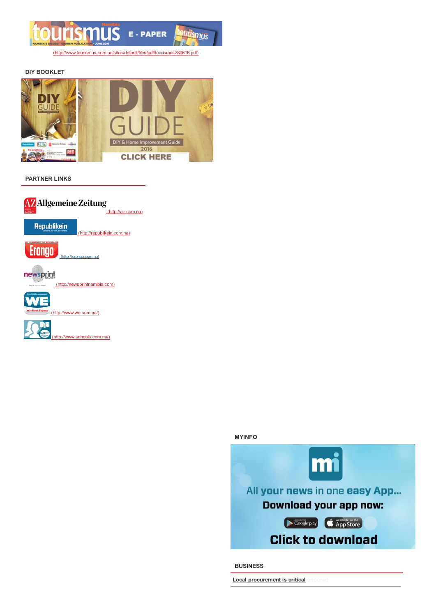

(http://www.tourismus.com.na/sites/default/files/pdf/tourismus280616.pdf)

## **DIY BOOKLET**



#### **PARTNER LINKS**





**BUSINESS** 

Local procurement is critical onoured